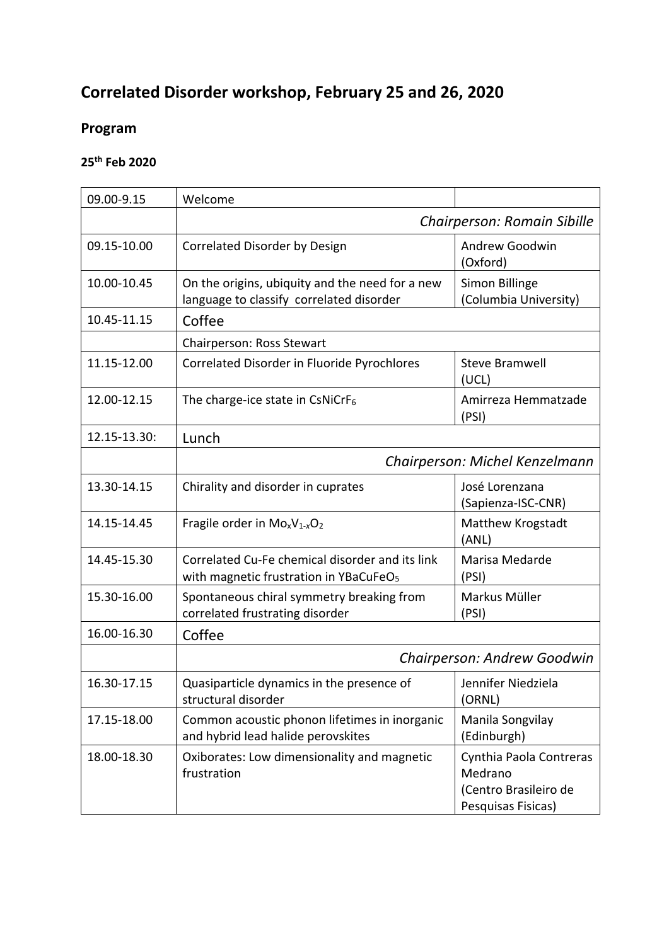# **Correlated Disorder workshop, February 25 and 26, 2020**

# **Program**

# **25th Feb 2020**

| 09.00-9.15   | Welcome                                                                                               |                                                                                   |  |
|--------------|-------------------------------------------------------------------------------------------------------|-----------------------------------------------------------------------------------|--|
|              | Chairperson: Romain Sibille                                                                           |                                                                                   |  |
| 09.15-10.00  | Correlated Disorder by Design                                                                         | Andrew Goodwin<br>(Oxford)                                                        |  |
| 10.00-10.45  | On the origins, ubiquity and the need for a new<br>language to classify correlated disorder           | Simon Billinge<br>(Columbia University)                                           |  |
| 10.45-11.15  | Coffee                                                                                                |                                                                                   |  |
|              | Chairperson: Ross Stewart                                                                             |                                                                                   |  |
| 11.15-12.00  | Correlated Disorder in Fluoride Pyrochlores                                                           | <b>Steve Bramwell</b><br>(UCL)                                                    |  |
| 12.00-12.15  | The charge-ice state in CsNiCrF $_6$                                                                  | Amirreza Hemmatzade<br>(PSI)                                                      |  |
| 12.15-13.30: | Lunch                                                                                                 |                                                                                   |  |
|              | Chairperson: Michel Kenzelmann                                                                        |                                                                                   |  |
| 13.30-14.15  | Chirality and disorder in cuprates                                                                    | José Lorenzana<br>(Sapienza-ISC-CNR)                                              |  |
| 14.15-14.45  | Fragile order in $Mo_xV_{1-x}O_2$                                                                     | Matthew Krogstadt<br>(ANL)                                                        |  |
| 14.45-15.30  | Correlated Cu-Fe chemical disorder and its link<br>with magnetic frustration in YBaCuFeO <sub>5</sub> | Marisa Medarde<br>(PSI)                                                           |  |
| 15.30-16.00  | Spontaneous chiral symmetry breaking from<br>correlated frustrating disorder                          | Markus Müller<br>(PSI)                                                            |  |
| 16.00-16.30  | Coffee                                                                                                |                                                                                   |  |
|              | Chairperson: Andrew Goodwin                                                                           |                                                                                   |  |
| 16.30-17.15  | Quasiparticle dynamics in the presence of<br>structural disorder                                      | Jennifer Niedziela<br>(ORNL)                                                      |  |
| 17.15-18.00  | Common acoustic phonon lifetimes in inorganic<br>and hybrid lead halide perovskites                   | Manila Songvilay<br>(Edinburgh)                                                   |  |
| 18.00-18.30  | Oxiborates: Low dimensionality and magnetic<br>frustration                                            | Cynthia Paola Contreras<br>Medrano<br>(Centro Brasileiro de<br>Pesquisas Fisicas) |  |